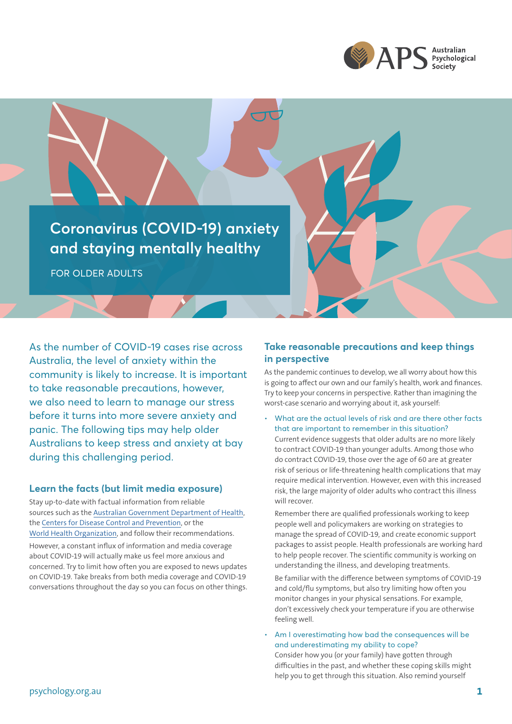

**Coronavirus (COVID-19) anxiety and staying mentally healthy**

FOR OLDER ADULTS

As the number of COVID-19 cases rise across Australia, the level of anxiety within the community is likely to increase. It is important to take reasonable precautions, however, we also need to learn to manage our stress before it turns into more severe anxiety and panic. The following tips may help older Australians to keep stress and anxiety at bay during this challenging period.

### **Learn the facts (but limit media exposure)**

Stay up-to-date with factual information from reliable sources such as the [Australian Government Department of Health,](https://www.health.gov.au/resources/collections/novel-coronavirus-2019-ncov-resources#find-the-facts) the [Centers for Disease Control and Prevention](http://bit.ly/39MEmI8), or the [World Health Organization,](https://www.who.int/emergencies/diseases/novel-coronavirus-2019) and follow their recommendations.

However, a constant influx of information and media coverage about COVID-19 will actually make us feel more anxious and concerned. Try to limit how often you are exposed to news updates on COVID-19. Take breaks from both media coverage and COVID-19 conversations throughout the day so you can focus on other things.

# **Take reasonable precautions and keep things in perspective**

As the pandemic continues to develop, we all worry about how this is going to affect our own and our family's health, work and finances. Try to keep your concerns in perspective. Rather than imagining the worst-case scenario and worrying about it, ask yourself:

• What are the actual levels of risk and are there other facts that are important to remember in this situation? Current evidence suggests that older adults are no more likely to contract COVID-19 than younger adults. Among those who do contract COVID-19, those over the age of 60 are at greater risk of serious or life-threatening health complications that may require medical intervention. However, even with this increased risk, the large majority of older adults who contract this illness will recover.

Remember there are qualified professionals working to keep people well and policymakers are working on strategies to manage the spread of COVID-19, and create economic support packages to assist people. Health professionals are working hard to help people recover. The scientific community is working on understanding the illness, and developing treatments.

Be familiar with the difference between symptoms of COVID-19 and cold/flu symptoms, but also try limiting how often you monitor changes in your physical sensations. For example, don't excessively check your temperature if you are otherwise feeling well.

• Am I overestimating how bad the consequences will be and underestimating my ability to cope?

Consider how you (or your family) have gotten through difficulties in the past, and whether these coping skills might help you to get through this situation. Also remind yourself